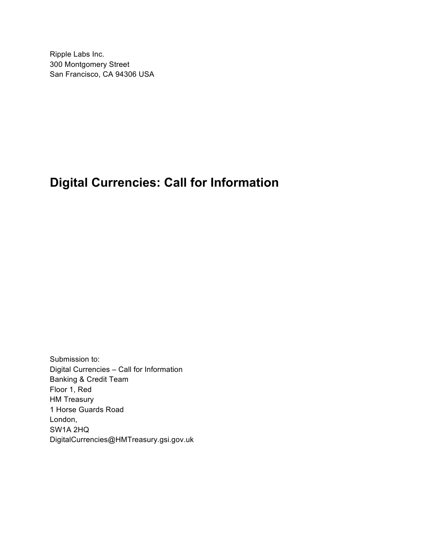Ripple Labs Inc. 300 Montgomery Street San Francisco, CA 94306 USA

# **Digital Currencies: Call for Information**

Submission to: Digital Currencies – Call for Information Banking & Credit Team Floor 1, Red HM Treasury 1 Horse Guards Road London, SW1A 2HQ DigitalCurrencies@HMTreasury.gsi.gov.uk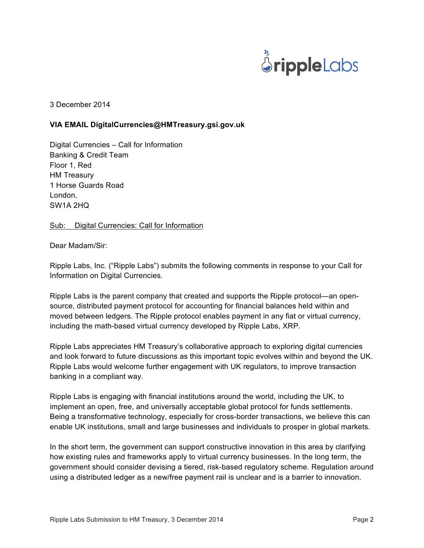

3 December 2014

#### **VIA EMAIL DigitalCurrencies@HMTreasury.gsi.gov.uk**

Digital Currencies – Call for Information Banking & Credit Team Floor 1, Red HM Treasury 1 Horse Guards Road London, SW1A 2HQ

Sub: Digital Currencies: Call for Information

Dear Madam/Sir:

Ripple Labs, Inc. ("Ripple Labs") submits the following comments in response to your Call for Information on Digital Currencies.

Ripple Labs is the parent company that created and supports the Ripple protocol—an opensource, distributed payment protocol for accounting for financial balances held within and moved between ledgers. The Ripple protocol enables payment in any fiat or virtual currency, including the math-based virtual currency developed by Ripple Labs, XRP.

Ripple Labs appreciates HM Treasury's collaborative approach to exploring digital currencies and look forward to future discussions as this important topic evolves within and beyond the UK. Ripple Labs would welcome further engagement with UK regulators, to improve transaction banking in a compliant way.

Ripple Labs is engaging with financial institutions around the world, including the UK, to implement an open, free, and universally acceptable global protocol for funds settlements. Being a transformative technology, especially for cross-border transactions, we believe this can enable UK institutions, small and large businesses and individuals to prosper in global markets.

In the short term, the government can support constructive innovation in this area by clarifying how existing rules and frameworks apply to virtual currency businesses. In the long term, the government should consider devising a tiered, risk-based regulatory scheme. Regulation around using a distributed ledger as a new/free payment rail is unclear and is a barrier to innovation.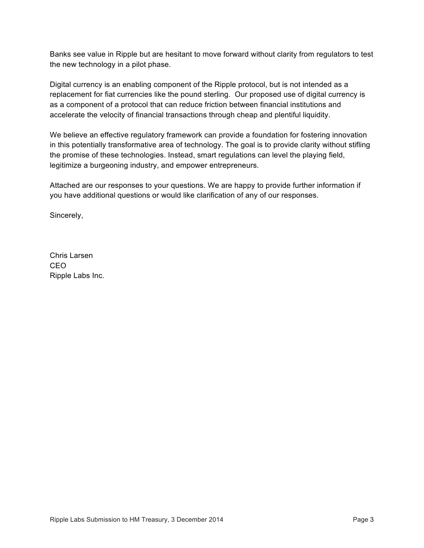Banks see value in Ripple but are hesitant to move forward without clarity from regulators to test the new technology in a pilot phase.

Digital currency is an enabling component of the Ripple protocol, but is not intended as a replacement for fiat currencies like the pound sterling. Our proposed use of digital currency is as a component of a protocol that can reduce friction between financial institutions and accelerate the velocity of financial transactions through cheap and plentiful liquidity.

We believe an effective regulatory framework can provide a foundation for fostering innovation in this potentially transformative area of technology. The goal is to provide clarity without stifling the promise of these technologies. Instead, smart regulations can level the playing field, legitimize a burgeoning industry, and empower entrepreneurs.

Attached are our responses to your questions. We are happy to provide further information if you have additional questions or would like clarification of any of our responses.

Sincerely,

Chris Larsen CEO Ripple Labs Inc.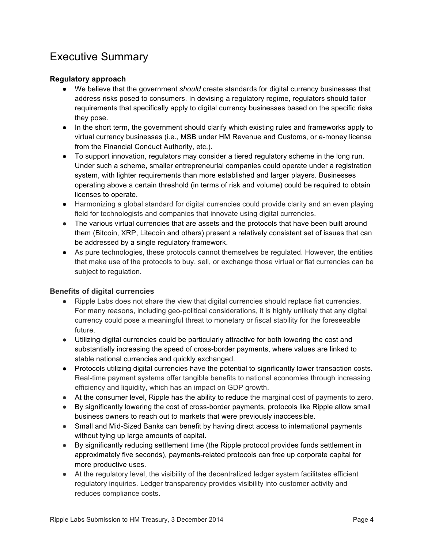### Executive Summary

#### **Regulatory approach**

- We believe that the government *should* create standards for digital currency businesses that address risks posed to consumers. In devising a regulatory regime, regulators should tailor requirements that specifically apply to digital currency businesses based on the specific risks they pose.
- In the short term, the government should clarify which existing rules and frameworks apply to virtual currency businesses (i.e., MSB under HM Revenue and Customs, or e-money license from the Financial Conduct Authority, etc.).
- To support innovation, regulators may consider a tiered regulatory scheme in the long run. Under such a scheme, smaller entrepreneurial companies could operate under a registration system, with lighter requirements than more established and larger players. Businesses operating above a certain threshold (in terms of risk and volume) could be required to obtain licenses to operate.
- Harmonizing a global standard for digital currencies could provide clarity and an even playing field for technologists and companies that innovate using digital currencies.
- The various virtual currencies that are assets and the protocols that have been built around them (Bitcoin, XRP, Litecoin and others) present a relatively consistent set of issues that can be addressed by a single regulatory framework.
- As pure technologies, these protocols cannot themselves be regulated. However, the entities that make use of the protocols to buy, sell, or exchange those virtual or fiat currencies can be subject to regulation.

#### **Benefits of digital currencies**

- Ripple Labs does not share the view that digital currencies should replace fiat currencies. For many reasons, including geo-political considerations, it is highly unlikely that any digital currency could pose a meaningful threat to monetary or fiscal stability for the foreseeable future.
- Utilizing digital currencies could be particularly attractive for both lowering the cost and substantially increasing the speed of cross-border payments, where values are linked to stable national currencies and quickly exchanged.
- Protocols utilizing digital currencies have the potential to significantly lower transaction costs. Real-time payment systems offer tangible benefits to national economies through increasing efficiency and liquidity, which has an impact on GDP growth.
- At the consumer level, Ripple has the ability to reduce the marginal cost of payments to zero.
- By significantly lowering the cost of cross-border payments, protocols like Ripple allow small business owners to reach out to markets that were previously inaccessible.
- Small and Mid-Sized Banks can benefit by having direct access to international payments without tying up large amounts of capital.
- By significantly reducing settlement time (the Ripple protocol provides funds settlement in approximately five seconds), payments-related protocols can free up corporate capital for more productive uses.
- At the regulatory level, the visibility of the decentralized ledger system facilitates efficient regulatory inquiries. Ledger transparency provides visibility into customer activity and reduces compliance costs.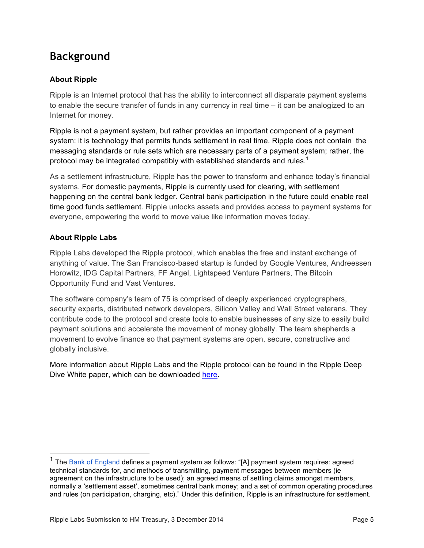## **Background**

#### **About Ripple**

Ripple is an Internet protocol that has the ability to interconnect all disparate payment systems to enable the secure transfer of funds in any currency in real time – it can be analogized to an Internet for money.

Ripple is not a payment system, but rather provides an important component of a payment system: it is technology that permits funds settlement in real time. Ripple does not contain the messaging standards or rule sets which are necessary parts of a payment system; rather, the protocol may be integrated compatibly with established standards and rules.<sup>1</sup>

As a settlement infrastructure, Ripple has the power to transform and enhance today's financial systems. For domestic payments, Ripple is currently used for clearing, with settlement happening on the central bank ledger. Central bank participation in the future could enable real time good funds settlement. Ripple unlocks assets and provides access to payment systems for everyone, empowering the world to move value like information moves today.

#### **About Ripple Labs**

Ripple Labs developed the Ripple protocol, which enables the free and instant exchange of anything of value. The San Francisco-based startup is funded by Google Ventures, Andreessen Horowitz, IDG Capital Partners, FF Angel, Lightspeed Venture Partners, The Bitcoin Opportunity Fund and Vast Ventures.

The software company's team of 75 is comprised of deeply experienced cryptographers, security experts, distributed network developers, Silicon Valley and Wall Street veterans. They contribute code to the protocol and create tools to enable businesses of any size to easily build payment solutions and accelerate the movement of money globally. The team shepherds a movement to evolve finance so that payment systems are open, secure, constructive and globally inclusive.

More information about Ripple Labs and the Ripple protocol can be found in the Ripple Deep Dive White paper, which can be downloaded here.

 $1$  The Bank of England defines a payment system as follows: "[A] payment system requires: agreed technical standards for, and methods of transmitting, payment messages between members (ie agreement on the infrastructure to be used); an agreed means of settling claims amongst members, normally a 'settlement asset', sometimes central bank money; and a set of common operating procedures and rules (on participation, charging, etc)." Under this definition, Ripple is an infrastructure for settlement.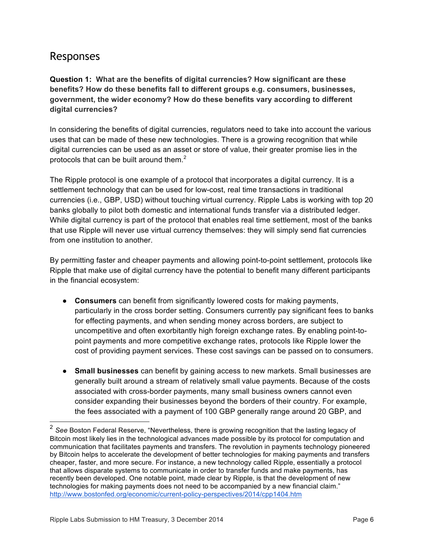### Responses

**Question 1: What are the benefits of digital currencies? How significant are these benefits? How do these benefits fall to different groups e.g. consumers, businesses, government, the wider economy? How do these benefits vary according to different digital currencies?**

In considering the benefits of digital currencies, regulators need to take into account the various uses that can be made of these new technologies. There is a growing recognition that while digital currencies can be used as an asset or store of value, their greater promise lies in the protocols that can be built around them. $<sup>2</sup>$ </sup>

The Ripple protocol is one example of a protocol that incorporates a digital currency. It is a settlement technology that can be used for low-cost, real time transactions in traditional currencies (i.e., GBP, USD) without touching virtual currency. Ripple Labs is working with top 20 banks globally to pilot both domestic and international funds transfer via a distributed ledger. While digital currency is part of the protocol that enables real time settlement, most of the banks that use Ripple will never use virtual currency themselves: they will simply send fiat currencies from one institution to another.

By permitting faster and cheaper payments and allowing point-to-point settlement, protocols like Ripple that make use of digital currency have the potential to benefit many different participants in the financial ecosystem:

- **Consumers** can benefit from significantly lowered costs for making payments, particularly in the cross border setting. Consumers currently pay significant fees to banks for effecting payments, and when sending money across borders, are subject to uncompetitive and often exorbitantly high foreign exchange rates. By enabling point-topoint payments and more competitive exchange rates, protocols like Ripple lower the cost of providing payment services. These cost savings can be passed on to consumers.
- **Small businesses** can benefit by gaining access to new markets. Small businesses are generally built around a stream of relatively small value payments. Because of the costs associated with cross-border payments, many small business owners cannot even consider expanding their businesses beyond the borders of their country. For example, the fees associated with a payment of 100 GBP generally range around 20 GBP, and

 <sup>2</sup> *See* Boston Federal Reserve, "Nevertheless, there is growing recognition that the lasting legacy of Bitcoin most likely lies in the technological advances made possible by its protocol for computation and communication that facilitates payments and transfers. The revolution in payments technology pioneered by Bitcoin helps to accelerate the development of better technologies for making payments and transfers cheaper, faster, and more secure. For instance, a new technology called Ripple, essentially a protocol that allows disparate systems to communicate in order to transfer funds and make payments, has recently been developed. One notable point, made clear by Ripple, is that the development of new technologies for making payments does not need to be accompanied by a new financial claim." http://www.bostonfed.org/economic/current-policy-perspectives/2014/cpp1404.htm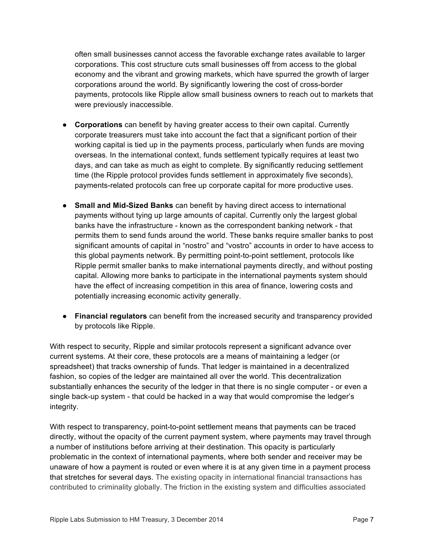often small businesses cannot access the favorable exchange rates available to larger corporations. This cost structure cuts small businesses off from access to the global economy and the vibrant and growing markets, which have spurred the growth of larger corporations around the world. By significantly lowering the cost of cross-border payments, protocols like Ripple allow small business owners to reach out to markets that were previously inaccessible.

- **Corporations** can benefit by having greater access to their own capital. Currently corporate treasurers must take into account the fact that a significant portion of their working capital is tied up in the payments process, particularly when funds are moving overseas. In the international context, funds settlement typically requires at least two days, and can take as much as eight to complete. By significantly reducing settlement time (the Ripple protocol provides funds settlement in approximately five seconds), payments-related protocols can free up corporate capital for more productive uses.
- **Small and Mid-Sized Banks** can benefit by having direct access to international payments without tying up large amounts of capital. Currently only the largest global banks have the infrastructure - known as the correspondent banking network - that permits them to send funds around the world. These banks require smaller banks to post significant amounts of capital in "nostro" and "vostro" accounts in order to have access to this global payments network. By permitting point-to-point settlement, protocols like Ripple permit smaller banks to make international payments directly, and without posting capital. Allowing more banks to participate in the international payments system should have the effect of increasing competition in this area of finance, lowering costs and potentially increasing economic activity generally.
- **Financial regulators** can benefit from the increased security and transparency provided by protocols like Ripple.

With respect to security, Ripple and similar protocols represent a significant advance over current systems. At their core, these protocols are a means of maintaining a ledger (or spreadsheet) that tracks ownership of funds. That ledger is maintained in a decentralized fashion, so copies of the ledger are maintained all over the world. This decentralization substantially enhances the security of the ledger in that there is no single computer - or even a single back-up system - that could be hacked in a way that would compromise the ledger's integrity.

With respect to transparency, point-to-point settlement means that payments can be traced directly, without the opacity of the current payment system, where payments may travel through a number of institutions before arriving at their destination. This opacity is particularly problematic in the context of international payments, where both sender and receiver may be unaware of how a payment is routed or even where it is at any given time in a payment process that stretches for several days. The existing opacity in international financial transactions has contributed to criminality globally. The friction in the existing system and difficulties associated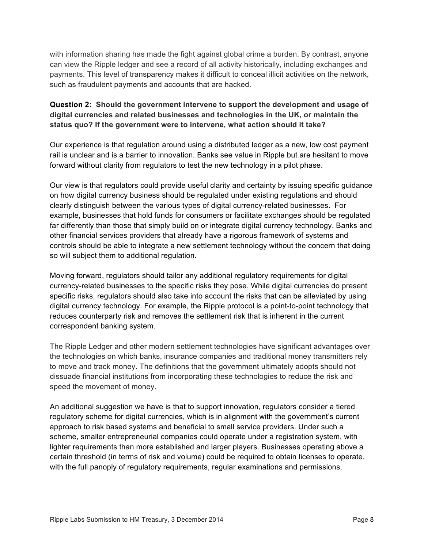with information sharing has made the fight against global crime a burden. By contrast, anyone can view the Ripple ledger and see a record of all activity historically, including exchanges and payments. This level of transparency makes it difficult to conceal illicit activities on the network, such as fraudulent payments and accounts that are hacked.

#### **Question 2: Should the government intervene to support the development and usage of digital currencies and related businesses and technologies in the UK, or maintain the status quo? If the government were to intervene, what action should it take?**

Our experience is that regulation around using a distributed ledger as a new, low cost payment rail is unclear and is a barrier to innovation. Banks see value in Ripple but are hesitant to move forward without clarity from regulators to test the new technology in a pilot phase.

Our view is that regulators could provide useful clarity and certainty by issuing specific guidance on how digital currency business should be regulated under existing regulations and should clearly distinguish between the various types of digital currency-related businesses. For example, businesses that hold funds for consumers or facilitate exchanges should be regulated far differently than those that simply build on or integrate digital currency technology. Banks and other financial services providers that already have a rigorous framework of systems and controls should be able to integrate a new settlement technology without the concern that doing so will subject them to additional regulation.

Moving forward, regulators should tailor any additional regulatory requirements for digital currency-related businesses to the specific risks they pose. While digital currencies do present specific risks, regulators should also take into account the risks that can be alleviated by using digital currency technology. For example, the Ripple protocol is a point-to-point technology that reduces counterparty risk and removes the settlement risk that is inherent in the current correspondent banking system.

The Ripple Ledger and other modern settlement technologies have significant advantages over the technologies on which banks, insurance companies and traditional money transmitters rely to move and track money. The definitions that the government ultimately adopts should not dissuade financial institutions from incorporating these technologies to reduce the risk and speed the movement of money.

An additional suggestion we have is that to support innovation, regulators consider a tiered regulatory scheme for digital currencies, which is in alignment with the government's current approach to risk based systems and beneficial to small service providers. Under such a scheme, smaller entrepreneurial companies could operate under a registration system, with lighter requirements than more established and larger players. Businesses operating above a certain threshold (in terms of risk and volume) could be required to obtain licenses to operate, with the full panoply of regulatory requirements, regular examinations and permissions.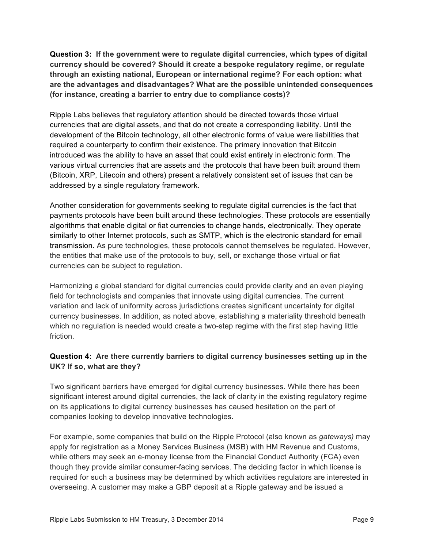**Question 3: If the government were to regulate digital currencies, which types of digital currency should be covered? Should it create a bespoke regulatory regime, or regulate through an existing national, European or international regime? For each option: what are the advantages and disadvantages? What are the possible unintended consequences (for instance, creating a barrier to entry due to compliance costs)?**

Ripple Labs believes that regulatory attention should be directed towards those virtual currencies that are digital assets, and that do not create a corresponding liability. Until the development of the Bitcoin technology, all other electronic forms of value were liabilities that required a counterparty to confirm their existence. The primary innovation that Bitcoin introduced was the ability to have an asset that could exist entirely in electronic form. The various virtual currencies that are assets and the protocols that have been built around them (Bitcoin, XRP, Litecoin and others) present a relatively consistent set of issues that can be addressed by a single regulatory framework.

Another consideration for governments seeking to regulate digital currencies is the fact that payments protocols have been built around these technologies. These protocols are essentially algorithms that enable digital or fiat currencies to change hands, electronically. They operate similarly to other Internet protocols, such as SMTP, which is the electronic standard for email transmission. As pure technologies, these protocols cannot themselves be regulated. However, the entities that make use of the protocols to buy, sell, or exchange those virtual or fiat currencies can be subject to regulation.

Harmonizing a global standard for digital currencies could provide clarity and an even playing field for technologists and companies that innovate using digital currencies. The current variation and lack of uniformity across jurisdictions creates significant uncertainty for digital currency businesses. In addition, as noted above, establishing a materiality threshold beneath which no regulation is needed would create a two-step regime with the first step having little friction.

#### **Question 4: Are there currently barriers to digital currency businesses setting up in the UK? If so, what are they?**

Two significant barriers have emerged for digital currency businesses. While there has been significant interest around digital currencies, the lack of clarity in the existing regulatory regime on its applications to digital currency businesses has caused hesitation on the part of companies looking to develop innovative technologies.

For example, some companies that build on the Ripple Protocol (also known as *gateways)* may apply for registration as a Money Services Business (MSB) with HM Revenue and Customs, while others may seek an e-money license from the Financial Conduct Authority (FCA) even though they provide similar consumer-facing services. The deciding factor in which license is required for such a business may be determined by which activities regulators are interested in overseeing. A customer may make a GBP deposit at a Ripple gateway and be issued a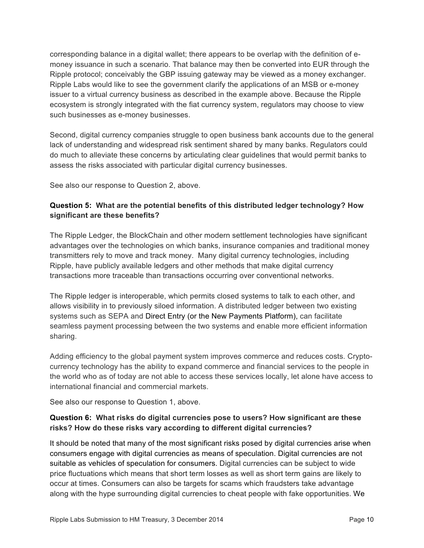corresponding balance in a digital wallet; there appears to be overlap with the definition of emoney issuance in such a scenario. That balance may then be converted into EUR through the Ripple protocol; conceivably the GBP issuing gateway may be viewed as a money exchanger. Ripple Labs would like to see the government clarify the applications of an MSB or e-money issuer to a virtual currency business as described in the example above. Because the Ripple ecosystem is strongly integrated with the fiat currency system, regulators may choose to view such businesses as e-money businesses.

Second, digital currency companies struggle to open business bank accounts due to the general lack of understanding and widespread risk sentiment shared by many banks. Regulators could do much to alleviate these concerns by articulating clear guidelines that would permit banks to assess the risks associated with particular digital currency businesses.

See also our response to Question 2, above.

#### **Question 5: What are the potential benefits of this distributed ledger technology? How significant are these benefits?**

The Ripple Ledger, the BlockChain and other modern settlement technologies have significant advantages over the technologies on which banks, insurance companies and traditional money transmitters rely to move and track money. Many digital currency technologies, including Ripple, have publicly available ledgers and other methods that make digital currency transactions more traceable than transactions occurring over conventional networks.

The Ripple ledger is interoperable, which permits closed systems to talk to each other, and allows visibility in to previously siloed information. A distributed ledger between two existing systems such as SEPA and Direct Entry (or the New Payments Platform), can facilitate seamless payment processing between the two systems and enable more efficient information sharing.

Adding efficiency to the global payment system improves commerce and reduces costs. Cryptocurrency technology has the ability to expand commerce and financial services to the people in the world who as of today are not able to access these services locally, let alone have access to international financial and commercial markets.

See also our response to Question 1, above.

#### **Question 6: What risks do digital currencies pose to users? How significant are these risks? How do these risks vary according to different digital currencies?**

It should be noted that many of the most significant risks posed by digital currencies arise when consumers engage with digital currencies as means of speculation. Digital currencies are not suitable as vehicles of speculation for consumers. Digital currencies can be subject to wide price fluctuations which means that short term losses as well as short term gains are likely to occur at times. Consumers can also be targets for scams which fraudsters take advantage along with the hype surrounding digital currencies to cheat people with fake opportunities. We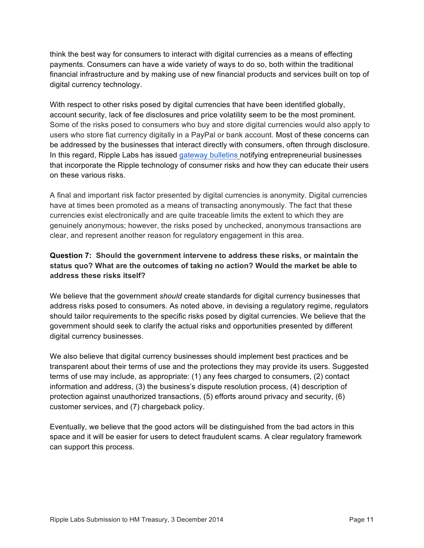think the best way for consumers to interact with digital currencies as a means of effecting payments. Consumers can have a wide variety of ways to do so, both within the traditional financial infrastructure and by making use of new financial products and services built on top of digital currency technology.

With respect to other risks posed by digital currencies that have been identified globally, account security, lack of fee disclosures and price volatility seem to be the most prominent. Some of the risks posed to consumers who buy and store digital currencies would also apply to users who store fiat currency digitally in a PayPal or bank account. Most of these concerns can be addressed by the businesses that interact directly with consumers, often through disclosure. In this regard, Ripple Labs has issued gateway bulletins notifying entrepreneurial businesses that incorporate the Ripple technology of consumer risks and how they can educate their users on these various risks.

A final and important risk factor presented by digital currencies is anonymity. Digital currencies have at times been promoted as a means of transacting anonymously. The fact that these currencies exist electronically and are quite traceable limits the extent to which they are genuinely anonymous; however, the risks posed by unchecked, anonymous transactions are clear, and represent another reason for regulatory engagement in this area.

#### **Question 7: Should the government intervene to address these risks, or maintain the status quo? What are the outcomes of taking no action? Would the market be able to address these risks itself?**

We believe that the government *should* create standards for digital currency businesses that address risks posed to consumers. As noted above, in devising a regulatory regime, regulators should tailor requirements to the specific risks posed by digital currencies. We believe that the government should seek to clarify the actual risks and opportunities presented by different digital currency businesses.

We also believe that digital currency businesses should implement best practices and be transparent about their terms of use and the protections they may provide its users. Suggested terms of use may include, as appropriate: (1) any fees charged to consumers, (2) contact information and address, (3) the business's dispute resolution process, (4) description of protection against unauthorized transactions, (5) efforts around privacy and security, (6) customer services, and (7) chargeback policy.

Eventually, we believe that the good actors will be distinguished from the bad actors in this space and it will be easier for users to detect fraudulent scams. A clear regulatory framework can support this process.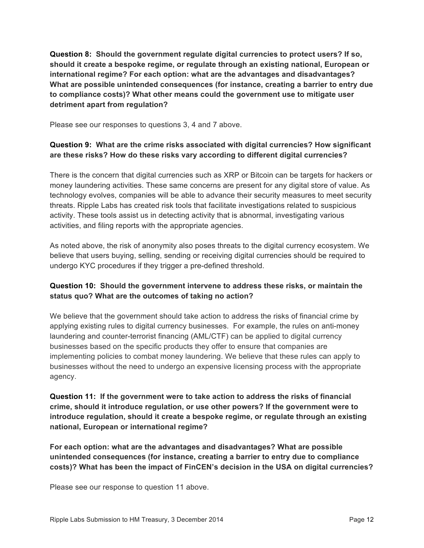**Question 8: Should the government regulate digital currencies to protect users? If so, should it create a bespoke regime, or regulate through an existing national, European or international regime? For each option: what are the advantages and disadvantages? What are possible unintended consequences (for instance, creating a barrier to entry due to compliance costs)? What other means could the government use to mitigate user detriment apart from regulation?** 

Please see our responses to questions 3, 4 and 7 above.

#### **Question 9: What are the crime risks associated with digital currencies? How significant are these risks? How do these risks vary according to different digital currencies?**

There is the concern that digital currencies such as XRP or Bitcoin can be targets for hackers or money laundering activities. These same concerns are present for any digital store of value. As technology evolves, companies will be able to advance their security measures to meet security threats. Ripple Labs has created risk tools that facilitate investigations related to suspicious activity. These tools assist us in detecting activity that is abnormal, investigating various activities, and filing reports with the appropriate agencies.

As noted above, the risk of anonymity also poses threats to the digital currency ecosystem. We believe that users buying, selling, sending or receiving digital currencies should be required to undergo KYC procedures if they trigger a pre-defined threshold.

#### **Question 10: Should the government intervene to address these risks, or maintain the status quo? What are the outcomes of taking no action?**

We believe that the government should take action to address the risks of financial crime by applying existing rules to digital currency businesses. For example, the rules on anti-money laundering and counter-terrorist financing (AML/CTF) can be applied to digital currency businesses based on the specific products they offer to ensure that companies are implementing policies to combat money laundering. We believe that these rules can apply to businesses without the need to undergo an expensive licensing process with the appropriate agency.

**Question 11: If the government were to take action to address the risks of financial crime, should it introduce regulation, or use other powers? If the government were to introduce regulation, should it create a bespoke regime, or regulate through an existing national, European or international regime?** 

**For each option: what are the advantages and disadvantages? What are possible unintended consequences (for instance, creating a barrier to entry due to compliance costs)? What has been the impact of FinCEN's decision in the USA on digital currencies?** 

Please see our response to question 11 above.